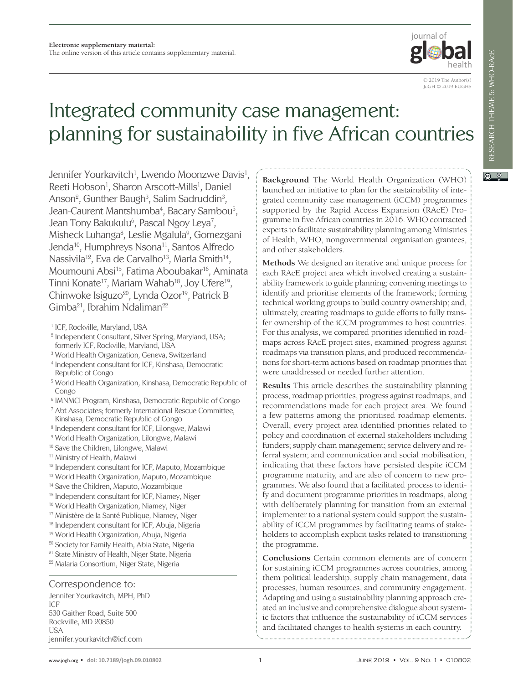

 $\odot$   $\odot$ 

© 2019 The Author(s) JoGH © 2019 EUGHS

# Integrated community case management: planning for sustainability in five African countries

Jennifer Yourkavitch<sup>1</sup>, Lwendo Moonzwe Davis<sup>1</sup>, Reeti Hobson<sup>1</sup>, Sharon Arscott-Mills<sup>1</sup>, Daniel Anson<sup>2</sup>, Gunther Baugh<sup>3</sup>, Salim Sadruddin<sup>3</sup>, Jean-Caurent Mantshumba<sup>4</sup>, Bacary Sambou<sup>5</sup>, Jean Tony Bakukulu<sup>6</sup>, Pascal Ngoy Leya<sup>7</sup>, Misheck Luhanga<sup>8</sup>, Leslie Mgalula<sup>9</sup>, Gomezgani Jenda<sup>10</sup>, Humphreys Nsona<sup>11</sup>, Santos Alfredo Nassivila<sup>12</sup>, Eva de Carvalho<sup>13</sup>, Marla Smith<sup>14</sup>, Moumouni Absi<sup>15</sup>, Fatima Aboubakar<sup>16</sup>, Aminata Tinni Konate<sup>17</sup>, Mariam Wahab<sup>18</sup>, Joy Ufere<sup>19</sup>, Chinwoke Isiguzo<sup>20</sup>, Lynda Ozor<sup>19</sup>, Patrick B Gimba<sup>21</sup>, Ibrahim Ndaliman<sup>22</sup>

- <sup>2</sup> Independent Consultant, Silver Spring, Maryland, USA; formerly ICF, Rockville, Maryland, USA
- <sup>3</sup> World Health Organization, Geneva, Switzerland
- <sup>4</sup> Independent consultant for ICF, Kinshasa, Democratic Republic of Congo
- <sup>5</sup> World Health Organization, Kinshasa, Democratic Republic of Congo
- 6 IMNMCI Program, Kinshasa, Democratic Republic of Congo
- <sup>7</sup> Abt Associates; formerly International Rescue Committee, Kinshasa, Democratic Republic of Congo
- <sup>8</sup> Independent consultant for ICF, Lilongwe, Malawi
- <sup>9</sup> World Health Organization, Lilongwe, Malawi
- <sup>10</sup> Save the Children, Lilongwe, Malawi
- <sup>11</sup> Ministry of Health, Malawi
- 12 Independent consultant for ICF, Maputo, Mozambique
- 13 World Health Organization, Maputo, Mozambique
- <sup>14</sup> Save the Children, Maputo, Mozambique
- <sup>15</sup> Independent consultant for ICF, Niamey, Niger
- <sup>16</sup> World Health Organization, Niamey, Niger
- <sup>17</sup> Ministère de la Santé Publique, Niamey, Niger
- 18 Independent consultant for ICF, Abuja, Nigeria
- 19 World Health Organization, Abuja, Nigeria
- <sup>20</sup> Society for Family Health, Abia State, Nigeria
- <sup>21</sup> State Ministry of Health, Niger State, Nigeria
- 22 Malaria Consortium, Niger State, Nigeria

#### Correspondence to:

Jennifer Yourkavitch, MPH, PhD ICF 530 Gaither Road, Suite 500 Rockville, MD 20850 USA jennifer.yourkavitch@icf.com

**Background** The World Health Organization (WHO) launched an initiative to plan for the sustainability of integrated community case management (iCCM) programmes supported by the Rapid Access Expansion (RAcE) Programme in five African countries in 2016. WHO contracted experts to facilitate sustainability planning among Ministries of Health, WHO, nongovernmental organisation grantees, and other stakeholders.

**Methods** We designed an iterative and unique process for each RAcE project area which involved creating a sustainability framework to guide planning; convening meetings to identify and prioritise elements of the framework; forming technical working groups to build country ownership; and, ultimately, creating roadmaps to guide efforts to fully transfer ownership of the iCCM programmes to host countries. For this analysis, we compared priorities identified in roadmaps across RAcE project sites, examined progress against roadmaps via transition plans, and produced recommendations for short-term actions based on roadmap priorities that were unaddressed or needed further attention.

**Results** This article describes the sustainability planning process, roadmap priorities, progress against roadmaps, and recommendations made for each project area. We found a few patterns among the prioritised roadmap elements. Overall, every project area identified priorities related to policy and coordination of external stakeholders including funders; supply chain management; service delivery and referral system; and communication and social mobilisation, indicating that these factors have persisted despite iCCM programme maturity, and are also of concern to new programmes. We also found that a facilitated process to identify and document programme priorities in roadmaps, along with deliberately planning for transition from an external implementer to a national system could support the sustainability of iCCM programmes by facilitating teams of stakeholders to accomplish explicit tasks related to transitioning the programme.

**Conclusions** Certain common elements are of concern for sustaining iCCM programmes across countries, among them political leadership, supply chain management, data processes, human resources, and community engagement. Adapting and using a sustainability planning approach created an inclusive and comprehensive dialogue about systemic factors that influence the sustainability of iCCM services and facilitated changes to health systems in each country.

<sup>&</sup>lt;sup>1</sup> ICF, Rockville, Maryland, USA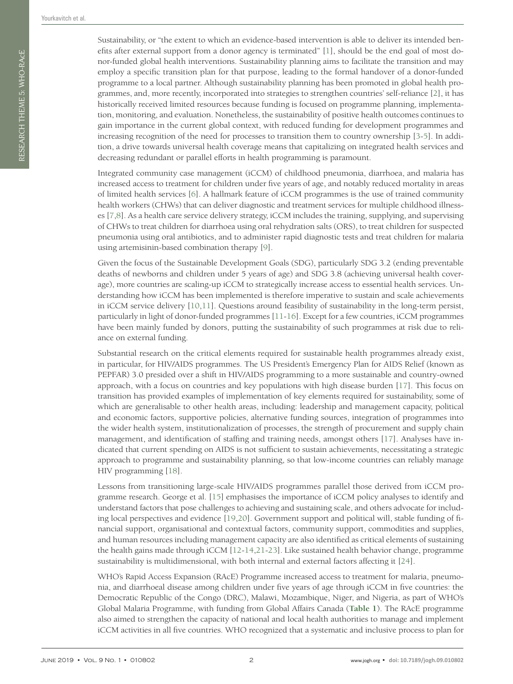Sustainability, or "the extent to which an evidence-based intervention is able to deliver its intended benefits after external support from a donor agency is terminated" [\[1](#page-10-0)], should be the end goal of most donor-funded global health interventions. Sustainability planning aims to facilitate the transition and may employ a specific transition plan for that purpose, leading to the formal handover of a donor-funded programme to a local partner. Although sustainability planning has been promoted in global health programmes, and, more recently, incorporated into strategies to strengthen countries' self-reliance [\[2](#page-10-1)], it has historically received limited resources because funding is focused on programme planning, implementation, monitoring, and evaluation. Nonetheless, the sustainability of positive health outcomes continues to gain importance in the current global context, with reduced funding for development programmes and increasing recognition of the need for processes to transition them to country ownership [[3](#page-10-2)-[5](#page-10-3)]. In addition, a drive towards universal health coverage means that capitalizing on integrated health services and decreasing redundant or parallel efforts in health programming is paramount.

Integrated community case management (iCCM) of childhood pneumonia, diarrhoea, and malaria has increased access to treatment for children under five years of age, and notably reduced mortality in areas of limited health services [\[6](#page-10-4)]. A hallmark feature of iCCM programmes is the use of trained community health workers (CHWs) that can deliver diagnostic and treatment services for multiple childhood illnesses [[7](#page-10-5)[,8](#page-10-6)]. As a health care service delivery strategy, iCCM includes the training, supplying, and supervising of CHWs to treat children for diarrhoea using oral rehydration salts (ORS), to treat children for suspected pneumonia using oral antibiotics, and to administer rapid diagnostic tests and treat children for malaria using artemisinin-based combination therapy [[9\]](#page-10-7).

Given the focus of the Sustainable Development Goals (SDG), particularly SDG 3.2 (ending preventable deaths of newborns and children under 5 years of age) and SDG 3.8 (achieving universal health coverage), more countries are scaling-up iCCM to strategically increase access to essential health services. Understanding how iCCM has been implemented is therefore imperative to sustain and scale achievements in iCCM service delivery [\[10](#page-10-8),[11](#page-10-9)]. Questions around feasibility of sustainability in the long-term persist, particularly in light of donor-funded programmes [[11](#page-10-9)-[16\]](#page-10-10). Except for a few countries, iCCM programmes have been mainly funded by donors, putting the sustainability of such programmes at risk due to reliance on external funding.

Substantial research on the critical elements required for sustainable health programmes already exist, in particular, for HIV/AIDS programmes. The US President's Emergency Plan for AIDS Relief (known as PEPFAR) 3.0 presided over a shift in HIV/AIDS programming to a more sustainable and country-owned approach, with a focus on countries and key populations with high disease burden [[17\]](#page-10-11). This focus on transition has provided examples of implementation of key elements required for sustainability, some of which are generalisable to other health areas, including: leadership and management capacity, political and economic factors, supportive policies, alternative funding sources, integration of programmes into the wider health system, institutionalization of processes, the strength of procurement and supply chain management, and identification of staffing and training needs, amongst others [[17\]](#page-10-11). Analyses have indicated that current spending on AIDS is not sufficient to sustain achievements, necessitating a strategic approach to programme and sustainability planning, so that low-income countries can reliably manage HIV programming [\[18\]](#page-10-12).

Lessons from transitioning large-scale HIV/AIDS programmes parallel those derived from iCCM programme research. George et al. [\[15](#page-10-13)] emphasises the importance of iCCM policy analyses to identify and understand factors that pose challenges to achieving and sustaining scale, and others advocate for including local perspectives and evidence [\[19](#page-10-14),[20\]](#page-10-15). Government support and political will, stable funding of financial support, organisational and contextual factors, community support, commodities and supplies, and human resources including management capacity are also identified as critical elements of sustaining the health gains made through iCCM [\[12](#page-10-16)-[14](#page-10-17),[21](#page-10-18)-[23](#page-10-19)]. Like sustained health behavior change, programme sustainability is multidimensional, with both internal and external factors affecting it [[24](#page-10-20)].

WHO's Rapid Access Expansion (RAcE) Programme increased access to treatment for malaria, pneumonia, and diarrhoeal disease among children under five years of age through iCCM in five countries: the Democratic Republic of the Congo (DRC), Malawi, Mozambique, Niger, and Nigeria, as part of WHO's Global Malaria Programme, with funding from Global Affairs Canada (**[Table 1](#page-2-0)**). The RAcE programme also aimed to strengthen the capacity of national and local health authorities to manage and implement iCCM activities in all five countries. WHO recognized that a systematic and inclusive process to plan for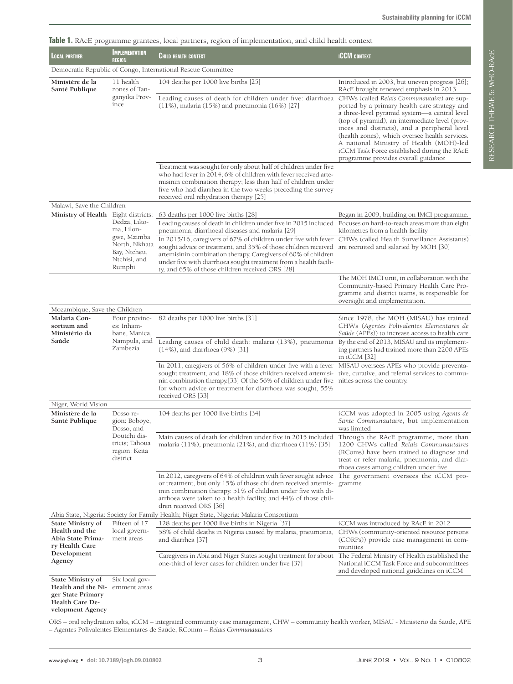<span id="page-2-0"></span>

|  |  |  |  |  | Table 1. RAcE programme grantees, local partners, region of implementation, and child health context |  |  |
|--|--|--|--|--|------------------------------------------------------------------------------------------------------|--|--|
|  |  |  |  |  |                                                                                                      |  |  |

| LOCAL PARTNER                                                                                              | <b>IMPLEMENTATION</b><br><b>REGION</b>                                                               | iani il istice programme granices, local partiters, region of implementation, and crind maith context<br><b>CHILD HEALTH CONTEXT</b>                                                                                                                                                                                                                                                                                                                                                                                                                                                                                       | <b>ICCM CONTEXT</b>                                                                                                                                                                                                                                                                                                                                                                                                              |
|------------------------------------------------------------------------------------------------------------|------------------------------------------------------------------------------------------------------|----------------------------------------------------------------------------------------------------------------------------------------------------------------------------------------------------------------------------------------------------------------------------------------------------------------------------------------------------------------------------------------------------------------------------------------------------------------------------------------------------------------------------------------------------------------------------------------------------------------------------|----------------------------------------------------------------------------------------------------------------------------------------------------------------------------------------------------------------------------------------------------------------------------------------------------------------------------------------------------------------------------------------------------------------------------------|
|                                                                                                            |                                                                                                      | Democratic Republic of Congo, International Rescue Committee                                                                                                                                                                                                                                                                                                                                                                                                                                                                                                                                                               |                                                                                                                                                                                                                                                                                                                                                                                                                                  |
| Ministère de la<br>Santé Publique                                                                          | 11 health<br>zones of Tan-                                                                           | 104 deaths per 1000 live births [25]                                                                                                                                                                                                                                                                                                                                                                                                                                                                                                                                                                                       | Introduced in 2003, but uneven progress [26];<br>RAcE brought renewed emphasis in 2013.                                                                                                                                                                                                                                                                                                                                          |
|                                                                                                            | ganyika Prov-<br>ince                                                                                | Leading causes of death for children under five: diarrhoea<br>$(11\%)$ , malaria $(15\%)$ and pneumonia $(16\%)$ [27]                                                                                                                                                                                                                                                                                                                                                                                                                                                                                                      | CHWs (called Relais Communautaire) are sup-<br>ported by a primary health care strategy and<br>a three-level pyramid system—a central level<br>(top of pyramid), an intermediate level (prov-<br>inces and districts), and a peripheral level<br>(health zones), which oversee health services.<br>A national Ministry of Health (MOH)-led<br>iCCM Task Force established during the RAcE<br>programme provides overall guidance |
|                                                                                                            |                                                                                                      | Treatment was sought for only about half of children under five<br>who had fever in 2014; 6% of children with fever received arte-<br>misinin combination therapy; less than half of children under<br>five who had diarrhea in the two weeks preceding the survey<br>received oral rehydration therapy [25]                                                                                                                                                                                                                                                                                                               |                                                                                                                                                                                                                                                                                                                                                                                                                                  |
| Malawi, Save the Children                                                                                  |                                                                                                      |                                                                                                                                                                                                                                                                                                                                                                                                                                                                                                                                                                                                                            |                                                                                                                                                                                                                                                                                                                                                                                                                                  |
| Ministry of Health Eight districts:                                                                        | Dedza, Liko-<br>ma, Lilon-<br>gwe, Mzimba<br>North, Nkhata<br>Bay, Ntcheu,<br>Ntchisi, and<br>Rumphi | 63 deaths per 1000 live births [28]<br>Leading causes of death in children under five in 2015 included Focuses on hard-to-reach areas more than eight<br>pneumonia, diarrhoeal diseases and malaria [29]<br>In 2015/16, caregivers of 67% of children under five with fever CHWs (called Health Surveillance Assistants)<br>sought advice or treatment, and 35% of those children received are recruited and salaried by MOH [30]<br>artemisinin combination therapy. Caregivers of 60% of children<br>under five with diarrhoea sought treatment from a health facili-<br>ty, and 65% of those children received ORS [28] | Began in 2009, building on IMCI programme.<br>kilometres from a health facility                                                                                                                                                                                                                                                                                                                                                  |
|                                                                                                            |                                                                                                      |                                                                                                                                                                                                                                                                                                                                                                                                                                                                                                                                                                                                                            | The MOH IMCI unit, in collaboration with the<br>Community-based Primary Health Care Pro-<br>gramme and district teams, is responsible for<br>oversight and implementation.                                                                                                                                                                                                                                                       |
| Mozambique, Save the Children                                                                              |                                                                                                      |                                                                                                                                                                                                                                                                                                                                                                                                                                                                                                                                                                                                                            |                                                                                                                                                                                                                                                                                                                                                                                                                                  |
| Malaria Con-<br>sortium and<br>Ministério da                                                               | Four provinc-<br>es: Inham-<br>bane, Manica,<br>Nampula, and<br>Zambezia                             | 82 deaths per 1000 live births [31]                                                                                                                                                                                                                                                                                                                                                                                                                                                                                                                                                                                        | Since 1978, the MOH (MISAU) has trained<br>CHWs (Agentes Polivalentes Elementares de<br>Saúde (APEs)) to increase access to health care                                                                                                                                                                                                                                                                                          |
| Saúde                                                                                                      |                                                                                                      | Leading causes of child death: malaria (13%), pneumonia<br>$(14%)$ , and diarrhoea $(9%)$ [31]                                                                                                                                                                                                                                                                                                                                                                                                                                                                                                                             | By the end of 2013, MISAU and its implement-<br>ing partners had trained more than 2200 APEs<br>in $iCCM$ [32]                                                                                                                                                                                                                                                                                                                   |
|                                                                                                            |                                                                                                      | In 2011, caregivers of 56% of children under five with a fever MISAU oversees APEs who provide preventa-<br>sought treatment, and 18% of those children received artemisi-<br>nin combination therapy [33] Of the 56% of children under five nities across the country.<br>for whom advice or treatment for diarrhoea was sought, 55%<br>received ORS [33]                                                                                                                                                                                                                                                                 | tive, curative, and referral services to commu-                                                                                                                                                                                                                                                                                                                                                                                  |
| Niger, World Vision                                                                                        |                                                                                                      |                                                                                                                                                                                                                                                                                                                                                                                                                                                                                                                                                                                                                            |                                                                                                                                                                                                                                                                                                                                                                                                                                  |
| Ministère de la<br>Santé Publique                                                                          | Dosso re-<br>gion: Boboye,<br>Dosso, and                                                             | 104 deaths per 1000 live births [34]                                                                                                                                                                                                                                                                                                                                                                                                                                                                                                                                                                                       | iCCM was adopted in 2005 using Agents de<br>Sante Communautaire, but implementation<br>was limited                                                                                                                                                                                                                                                                                                                               |
|                                                                                                            | Doutchi dis-<br>tricts; Tahoua<br>region: Keita<br>district                                          | Main causes of death for children under five in 2015 included<br>malaria (11%), pneumonia (21%), and diarrhoea $(11\%)$ [35]                                                                                                                                                                                                                                                                                                                                                                                                                                                                                               | Through the RAcE programme, more than<br>1200 CHWs called Relais Communautaires<br>(RComs) have been trained to diagnose and<br>treat or refer malaria, pneumonia, and diar-<br>rhoea cases among children under five                                                                                                                                                                                                            |
|                                                                                                            |                                                                                                      | In 2012, caregivers of 64% of children with fever sought advice<br>or treatment, but only 15% of those children received artemis-<br>inin combination therapy. 51% of children under five with di-<br>arrhoea were taken to a health facility, and 44% of those chil-<br>dren received ORS [36]                                                                                                                                                                                                                                                                                                                            | The government oversees the iCCM pro-<br>gramme                                                                                                                                                                                                                                                                                                                                                                                  |
|                                                                                                            |                                                                                                      | Abia State, Nigeria: Society for Family Health; Niger State, Nigeria: Malaria Consortium                                                                                                                                                                                                                                                                                                                                                                                                                                                                                                                                   |                                                                                                                                                                                                                                                                                                                                                                                                                                  |
| <b>State Ministry of</b><br>Health and the                                                                 | Fifteen of 17<br>local govern-                                                                       | 128 deaths per 1000 live births in Nigeria [37]                                                                                                                                                                                                                                                                                                                                                                                                                                                                                                                                                                            | iCCM was introduced by RAcE in 2012                                                                                                                                                                                                                                                                                                                                                                                              |
| Abia State Prima-<br>ry Health Care                                                                        | ment areas                                                                                           | 58% of child deaths in Nigeria caused by malaria, pneumonia,<br>and diarrhea [37]                                                                                                                                                                                                                                                                                                                                                                                                                                                                                                                                          | CHWs (community-oriented resource persons<br>(CORPs)) provide case management in com-<br>munities                                                                                                                                                                                                                                                                                                                                |
| Development<br>Agency                                                                                      |                                                                                                      | Caregivers in Abia and Niger States sought treatment for about<br>one-third of fever cases for children under five [37]                                                                                                                                                                                                                                                                                                                                                                                                                                                                                                    | The Federal Ministry of Health established the<br>National iCCM Task Force and subcommittees<br>and developed national guidelines on iCCM                                                                                                                                                                                                                                                                                        |
| State Ministry of<br>Health and the Ni-<br>ger State Primary<br><b>Health Care De-</b><br>velopment Agency | Six local gov-<br>ernment areas                                                                      |                                                                                                                                                                                                                                                                                                                                                                                                                                                                                                                                                                                                                            |                                                                                                                                                                                                                                                                                                                                                                                                                                  |

ORS – oral rehydration salts, iCCM – integrated community case management, CHW – community health worker, MISAU - Ministerio da Saude, APE – Agentes Polivalentes Elementares de Saúde, RComm – *Relais Communautaires*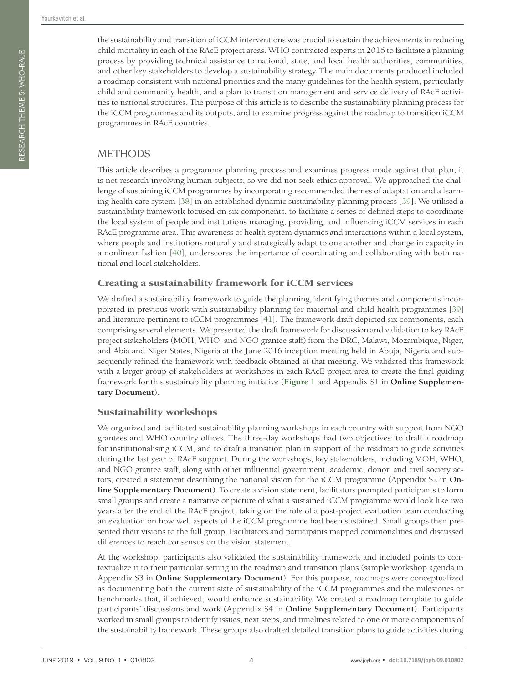the sustainability and transition of iCCM interventions was crucial to sustain the achievements in reducing child mortality in each of the RAcE project areas. WHO contracted experts in 2016 to facilitate a planning process by providing technical assistance to national, state, and local health authorities, communities, and other key stakeholders to develop a sustainability strategy. The main documents produced included a roadmap consistent with national priorities and the many guidelines for the health system, particularly child and community health, and a plan to transition management and service delivery of RAcE activities to national structures. The purpose of this article is to describe the sustainability planning process for the iCCM programmes and its outputs, and to examine progress against the roadmap to transition iCCM programmes in RAcE countries.

# METHODS

This article describes a programme planning process and examines progress made against that plan; it is not research involving human subjects, so we did not seek ethics approval. We approached the challenge of sustaining iCCM programmes by incorporating recommended themes of adaptation and a learning health care system [[38](#page-11-0)] in an established dynamic sustainability planning process [[39](#page-11-1)]. We utilised a sustainability framework focused on six components, to facilitate a series of defined steps to coordinate the local system of people and institutions managing, providing, and influencing iCCM services in each RAcE programme area. This awareness of health system dynamics and interactions within a local system, where people and institutions naturally and strategically adapt to one another and change in capacity in a nonlinear fashion [\[40](#page-11-2)], underscores the importance of coordinating and collaborating with both national and local stakeholders.

#### Creating a sustainability framework for iCCM services

We drafted a sustainability framework to guide the planning, identifying themes and components incorporated in previous work with sustainability planning for maternal and child health programmes [\[39](#page-11-1)] and literature pertinent to iCCM programmes [[41](#page-11-3)]. The framework draft depicted six components, each comprising several elements. We presented the draft framework for discussion and validation to key RAcE project stakeholders (MOH, WHO, and NGO grantee staff) from the DRC, Malawi, Mozambique, Niger, and Abia and Niger States, Nigeria at the June 2016 inception meeting held in Abuja, Nigeria and subsequently refined the framework with feedback obtained at that meeting. We validated this framework with a larger group of stakeholders at workshops in each RAcE project area to create the final guiding framework for this sustainability planning initiative (**[Figure 1](#page-4-0)** and Appendix S1 in **Online Supplementary Document**).

#### Sustainability workshops

We organized and facilitated sustainability planning workshops in each country with support from NGO grantees and WHO country offices. The three-day workshops had two objectives: to draft a roadmap for institutionalising iCCM, and to draft a transition plan in support of the roadmap to guide activities during the last year of RAcE support. During the workshops, key stakeholders, including MOH, WHO, and NGO grantee staff, along with other influential government, academic, donor, and civil society actors, created a statement describing the national vision for the iCCM programme (Appendix S2 in **Online Supplementary Document**). To create a vision statement, facilitators prompted participants to form small groups and create a narrative or picture of what a sustained iCCM programme would look like two years after the end of the RAcE project, taking on the role of a post-project evaluation team conducting an evaluation on how well aspects of the iCCM programme had been sustained. Small groups then presented their visions to the full group. Facilitators and participants mapped commonalities and discussed differences to reach consensus on the vision statement.

At the workshop, participants also validated the sustainability framework and included points to contextualize it to their particular setting in the roadmap and transition plans (sample workshop agenda in Appendix S3 in **Online Supplementary Document**). For this purpose, roadmaps were conceptualized as documenting both the current state of sustainability of the iCCM programmes and the milestones or benchmarks that, if achieved, would enhance sustainability. We created a roadmap template to guide participants' discussions and work (Appendix S4 in **Online Supplementary Document**). Participants worked in small groups to identify issues, next steps, and timelines related to one or more components of the sustainability framework. These groups also drafted detailed transition plans to guide activities during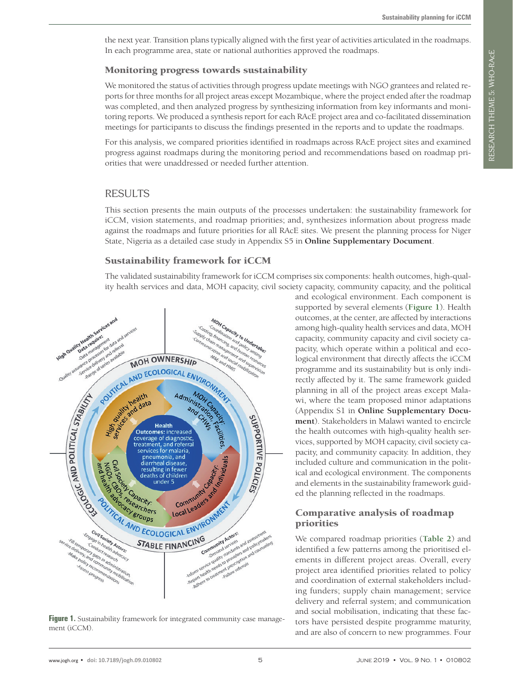the next year. Transition plans typically aligned with the first year of activities articulated in the roadmaps. In each programme area, state or national authorities approved the roadmaps.

#### Monitoring progress towards sustainability

We monitored the status of activities through progress update meetings with NGO grantees and related reports for three months for all project areas except Mozambique, where the project ended after the roadmap was completed, and then analyzed progress by synthesizing information from key informants and monitoring reports. We produced a synthesis report for each RAcE project area and co-facilitated dissemination meetings for participants to discuss the findings presented in the reports and to update the roadmaps.

For this analysis, we compared priorities identified in roadmaps across RAcE project sites and examined progress against roadmaps during the monitoring period and recommendations based on roadmap priorities that were unaddressed or needed further attention.

#### **RESULTS**

This section presents the main outputs of the processes undertaken: the sustainability framework for iCCM, vision statements, and roadmap priorities; and, synthesizes information about progress made against the roadmaps and future priorities for all RAcE sites. We present the planning process for Niger State, Nigeria as a detailed case study in Appendix S5 in **Online Supplementary Document**.

#### Sustainability framework for iCCM

The validated sustainability framework for iCCM comprises six components: health outcomes, high-quality health services and data, MOH capacity, civil society capacity, community capacity, and the political

<span id="page-4-0"></span>

Figure 1. Sustainability framework for integrated community case management (iCCM).

and ecological environment. Each component is supported by several elements (**[Figure 1](#page-4-0)**). Health outcomes, at the center, are affected by interactions among high-quality health services and data, MOH capacity, community capacity and civil society capacity, which operate within a political and ecological environment that directly affects the iCCM programme and its sustainability but is only indirectly affected by it. The same framework guided planning in all of the project areas except Malawi, where the team proposed minor adaptations (Appendix S1 in **Online Supplementary Document**). Stakeholders in Malawi wanted to encircle the health outcomes with high-quality health services, supported by MOH capacity, civil society capacity, and community capacity. In addition, they included culture and communication in the political and ecological environment. The components and elements in the sustainability framework guided the planning reflected in the roadmaps.

#### Comparative analysis of roadmap priorities

We compared roadmap priorities (**[Table 2](#page-5-0)**) and identified a few patterns among the prioritised elements in different project areas. Overall, every project area identified priorities related to policy and coordination of external stakeholders including funders; supply chain management; service delivery and referral system; and communication and social mobilisation, indicating that these factors have persisted despite programme maturity, and are also of concern to new programmes. Four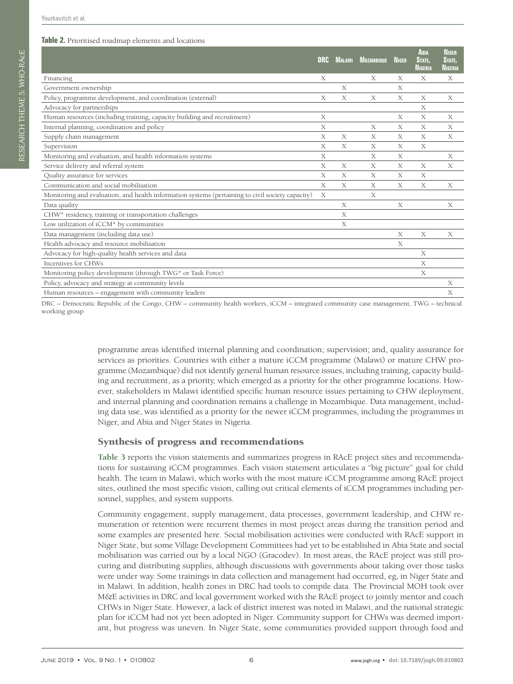<span id="page-5-0"></span>

|                                                                                                  | <b>DRC</b> | Malawi | <b>MOZAMBIQUE</b> | <b>NIGER</b> | <b>ABIA</b><br>STATE.<br>Nigeria | <b>NIGER</b><br>STATE.<br>NIGERIA |
|--------------------------------------------------------------------------------------------------|------------|--------|-------------------|--------------|----------------------------------|-----------------------------------|
| Financing                                                                                        | X          |        | X                 | X            | X                                | Χ                                 |
| Government ownership                                                                             |            | X      |                   | Χ            |                                  |                                   |
| Policy, programme development, and coordination (external)                                       | X          | X      | X                 | X            | X                                | X                                 |
| Advocacy for partnerships                                                                        |            |        |                   |              | X                                |                                   |
| Human resources (including training, capacity building and recruitment)                          | X          |        |                   | X            | X                                | X                                 |
| Internal planning, coordination and policy                                                       | X          |        | X                 | X            | X                                | X                                 |
| Supply chain management                                                                          | X          | X      | X                 | X            | X                                | X                                 |
| Supervision                                                                                      | X          | X      | Χ                 | X            | X                                |                                   |
| Monitoring and evaluation, and health information systems                                        | X          |        | X                 | X            |                                  | X                                 |
| Service delivery and referral system                                                             | X          | X      | X                 | X            | X                                | X                                 |
| Quality assurance for services                                                                   | X          | X      | X                 | X            | X                                |                                   |
| Communication and social mobilisation                                                            | X          | X      | X                 | X            | X                                | X                                 |
| Monitoring and evaluation, and health information systems (pertaining to civil society capacity) | X          |        | X                 |              |                                  |                                   |
| Data quality                                                                                     |            | X      |                   | X            |                                  | X                                 |
| CHW* residency, training or transportation challenges                                            |            | X      |                   |              |                                  |                                   |
| Low utilization of iCCM* by communities                                                          |            | X      |                   |              |                                  |                                   |
| Data management (including data use)                                                             |            |        |                   | X            | X                                | X                                 |
| Health advocacy and resource mobilisation                                                        |            |        |                   | X            |                                  |                                   |
| Advocacy for high-quality health services and data                                               |            |        |                   |              | X                                |                                   |
| Incentives for CHWs                                                                              |            |        |                   |              | X                                |                                   |
| Monitoring policy development (through TWG* or Task Force)                                       |            |        |                   |              | X                                |                                   |
| Policy, advocacy and strategy at community levels                                                |            |        |                   |              |                                  | X                                 |
| Human resources - engagement with community leaders                                              |            |        |                   |              |                                  | X                                 |

DRC – Democratic Republic of the Congo, CHW – community health workers, iCCM – integrated community case management, TWG – technical working group

> programme areas identified internal planning and coordination; supervision; and, quality assurance for services as priorities. Countries with either a mature iCCM programme (Malawi) or mature CHW programme (Mozambique) did not identify general human resource issues, including training, capacity building and recruitment, as a priority, which emerged as a priority for the other programme locations. However, stakeholders in Malawi identified specific human resource issues pertaining to CHW deployment, and internal planning and coordination remains a challenge in Mozambique. Data management, including data use, was identified as a priority for the newer iCCM programmes, including the programmes in Niger, and Abia and Niger States in Nigeria.

#### Synthesis of progress and recommendations

**[Table 3](#page-6-0)** reports the vision statements and summarizes progress in RAcE project sites and recommendations for sustaining iCCM programmes. Each vision statement articulates a "big picture" goal for child health. The team in Malawi, which works with the most mature iCCM programme among RAcE project sites, outlined the most specific vision, calling out critical elements of iCCM programmes including personnel, supplies, and system supports.

Community engagement, supply management, data processes, government leadership, and CHW remuneration or retention were recurrent themes in most project areas during the transition period and some examples are presented here. Social mobilisation activities were conducted with RAcE support in Niger State, but some Village Development Committees had yet to be established in Abia State and social mobilisation was carried out by a local NGO (Gracodev). In most areas, the RAcE project was still procuring and distributing supplies, although discussions with governments about taking over those tasks were under way. Some trainings in data collection and management had occurred, eg, in Niger State and in Malawi. In addition, health zones in DRC had tools to compile data. The Provincial MOH took over M&E activities in DRC and local government worked with the RAcE project to jointly mentor and coach CHWs in Niger State. However, a lack of district interest was noted in Malawi, and the national strategic plan for iCCM had not yet been adopted in Niger. Community support for CHWs was deemed important, but progress was uneven. In Niger State, some communities provided support through food and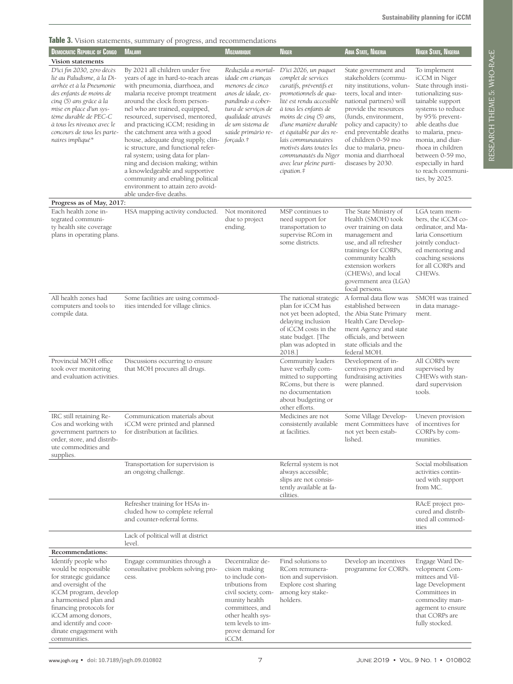<span id="page-6-0"></span>**Table 3.** Vision statements, summary of progress, and recommendations

| <b>DEMOCRATIC REPUBLIC OF CONGO</b>                                                                                                                                                                                                                                                                  | <b>MALAWI</b>                                                                                                                                                                                                                                                                                                                                                                                                                                                                                                                                                                                                        | <b>MOZAMBIQUE</b>                                                                                                                                                                                         | <b>NIGER</b>                                                                                                                                                                                                                                                                                                                                                | Abia State, Nigeria                                                                                                                                                                                                                                                                                                                | <b>NIGER STATE, NIGERIA</b>                                                                                                                                                                                                                                                                               |
|------------------------------------------------------------------------------------------------------------------------------------------------------------------------------------------------------------------------------------------------------------------------------------------------------|----------------------------------------------------------------------------------------------------------------------------------------------------------------------------------------------------------------------------------------------------------------------------------------------------------------------------------------------------------------------------------------------------------------------------------------------------------------------------------------------------------------------------------------------------------------------------------------------------------------------|-----------------------------------------------------------------------------------------------------------------------------------------------------------------------------------------------------------|-------------------------------------------------------------------------------------------------------------------------------------------------------------------------------------------------------------------------------------------------------------------------------------------------------------------------------------------------------------|------------------------------------------------------------------------------------------------------------------------------------------------------------------------------------------------------------------------------------------------------------------------------------------------------------------------------------|-----------------------------------------------------------------------------------------------------------------------------------------------------------------------------------------------------------------------------------------------------------------------------------------------------------|
| Vision statements<br>D'ici fin 2030, zéro décès<br>lié au Paludisme, à la Di-<br>arrhée et à la Pneumonie<br>des enfants de moins de<br>cinq (5) ans grâce à la<br>mise en place d'un sys-<br>tème durable de PEC-C<br>à tous les niveaux avec le<br>concours de tous les parte-<br>naires impliqué* | By 2021 all children under five<br>years of age in hard-to-reach areas<br>with pneumonia, diarrhoea, and<br>malaria receive prompt treatment<br>around the clock from person-<br>nel who are trained, equipped,<br>resourced, supervised, mentored,<br>and practicing iCCM; residing in<br>the catchment area with a good<br>house, adequate drug supply, clin-<br>ic structure, and functional refer-<br>ral system; using data for plan-<br>ning and decision making; within<br>a knowledgeable and supportive<br>community and enabling political<br>environment to attain zero avoid-<br>able under-five deaths. | Reduzida a mortal-<br>idade em crianças<br>menores de cinco<br>anos de idade, ex-<br>pandindo a cober-<br>tura de serviços de<br>qualidade através<br>de um sistema de<br>saúde primário re-<br>forçado.† | D'ici 2026, un paquet<br>complet de services<br>curatifs, préventifs et<br>promotionnels de qua-<br>lité est rendu accessible<br>à tous les enfants de<br>moins de cinq (5) ans,<br>d'une manière durable<br>et équitable par des re-<br>lais communautaires<br>motivés dans toutes les<br>communautés du Niger<br>avec leur pleine parti-<br>$cipation.$ # | State government and<br>stakeholders (commu-<br>nity institutions, volun-<br>teers, local and inter-<br>national partners) will<br>provide the resources<br>(funds, environment,<br>policy and capacity) to<br>end preventable deaths<br>of children 0-59 mo<br>due to malaria, pneu-<br>monia and diarrhoeal<br>diseases by 2030. | To implement<br>iCCM in Niger<br>State through insti-<br>tutionalizing sus-<br>tainable support<br>systems to reduce<br>by 95% prevent-<br>able deaths due<br>to malaria, pneu-<br>monia, and diar-<br>rhoea in children<br>between 0-59 mo,<br>especially in hard<br>to reach communi-<br>ties, by 2025. |
| Progress as of May, 2017:                                                                                                                                                                                                                                                                            |                                                                                                                                                                                                                                                                                                                                                                                                                                                                                                                                                                                                                      |                                                                                                                                                                                                           |                                                                                                                                                                                                                                                                                                                                                             |                                                                                                                                                                                                                                                                                                                                    |                                                                                                                                                                                                                                                                                                           |
| Each health zone in-<br>tegrated communi-<br>ty health site coverage<br>plans in operating plans.                                                                                                                                                                                                    | HSA mapping activity conducted.                                                                                                                                                                                                                                                                                                                                                                                                                                                                                                                                                                                      | Not monitored<br>due to project<br>ending.                                                                                                                                                                | MSP continues to<br>need support for<br>transportation to<br>supervise RCom in<br>some districts.                                                                                                                                                                                                                                                           | The State Ministry of<br>Health (SMOH) took<br>over training on data<br>management and<br>use, and all refresher<br>trainings for CORPs,<br>community health<br>extension workers<br>(CHEWs), and local<br>government area (LGA)<br>focal persons.                                                                                 | LGA team mem-<br>bers, the iCCM co-<br>ordinator, and Ma-<br>laria Consortium<br>jointly conduct-<br>ed mentoring and<br>coaching sessions<br>for all CORPs and<br>CHEWs.                                                                                                                                 |
| All health zones had<br>computers and tools to<br>compile data.                                                                                                                                                                                                                                      | Some facilities are using commod-<br>ities intended for village clinics.                                                                                                                                                                                                                                                                                                                                                                                                                                                                                                                                             |                                                                                                                                                                                                           | The national strategic<br>plan for iCCM has<br>not yet been adopted,<br>delaying inclusion<br>of iCCM costs in the<br>state budget. [The<br>plan was adopted in<br>2018.]                                                                                                                                                                                   | A formal data flow was<br>established between<br>the Abia State Primary<br>Health Care Develop-<br>ment Agency and state<br>officials, and between<br>state officials and the<br>federal MOH.                                                                                                                                      | SMOH was trained<br>in data manage-<br>ment.                                                                                                                                                                                                                                                              |
| Provincial MOH office<br>took over monitoring<br>and evaluation activities.                                                                                                                                                                                                                          | Discussions occurring to ensure<br>that MOH procures all drugs.                                                                                                                                                                                                                                                                                                                                                                                                                                                                                                                                                      |                                                                                                                                                                                                           | Community leaders<br>have verbally com-<br>mitted to supporting<br>RComs, but there is<br>no documentation<br>about budgeting or<br>other efforts.                                                                                                                                                                                                          | Development of in-<br>centives program and<br>fundraising activities<br>were planned.                                                                                                                                                                                                                                              | All CORPs were<br>supervised by<br>CHEWs with stan-<br>dard supervision<br>tools.                                                                                                                                                                                                                         |
| IRC still retaining Re-<br>Cos and working with<br>government partners to<br>order, store, and distrib-<br>ute commodities and<br>supplies.                                                                                                                                                          | Communication materials about<br>iCCM were printed and planned<br>for distribution at facilities.                                                                                                                                                                                                                                                                                                                                                                                                                                                                                                                    |                                                                                                                                                                                                           | Medicines are not<br>consistently available<br>at facilities.                                                                                                                                                                                                                                                                                               | Some Village Develop-<br>ment Committees have<br>not yet been estab-<br>lished.                                                                                                                                                                                                                                                    | Uneven provision<br>of incentives for<br>CORPs by com-<br>munities.                                                                                                                                                                                                                                       |
|                                                                                                                                                                                                                                                                                                      | Transportation for supervision is<br>an ongoing challenge.                                                                                                                                                                                                                                                                                                                                                                                                                                                                                                                                                           |                                                                                                                                                                                                           | Referral system is not<br>always accessible;<br>slips are not consis-<br>tently available at fa-<br>cilities.                                                                                                                                                                                                                                               |                                                                                                                                                                                                                                                                                                                                    | Social mobilisation<br>activities contin-<br>ued with support<br>from MC.                                                                                                                                                                                                                                 |
|                                                                                                                                                                                                                                                                                                      | Refresher training for HSAs in-<br>cluded how to complete referral<br>and counter-referral forms.                                                                                                                                                                                                                                                                                                                                                                                                                                                                                                                    |                                                                                                                                                                                                           |                                                                                                                                                                                                                                                                                                                                                             |                                                                                                                                                                                                                                                                                                                                    | RAcE project pro-<br>cured and distrib-<br>uted all commod-<br>ities                                                                                                                                                                                                                                      |
|                                                                                                                                                                                                                                                                                                      | Lack of political will at district<br>level.                                                                                                                                                                                                                                                                                                                                                                                                                                                                                                                                                                         |                                                                                                                                                                                                           |                                                                                                                                                                                                                                                                                                                                                             |                                                                                                                                                                                                                                                                                                                                    |                                                                                                                                                                                                                                                                                                           |
| Recommendations:                                                                                                                                                                                                                                                                                     |                                                                                                                                                                                                                                                                                                                                                                                                                                                                                                                                                                                                                      |                                                                                                                                                                                                           |                                                                                                                                                                                                                                                                                                                                                             |                                                                                                                                                                                                                                                                                                                                    |                                                                                                                                                                                                                                                                                                           |
| Identify people who<br>would be responsible<br>for strategic guidance<br>and oversight of the<br>iCCM program, develop<br>a harmonised plan and<br>financing protocols for<br>iCCM among donors,<br>and identify and coor-<br>dinate engagement with<br>communities.                                 | Engage communities through a<br>consultative problem solving pro-<br>cess.                                                                                                                                                                                                                                                                                                                                                                                                                                                                                                                                           | Decentralize de-<br>cision making<br>to include con-<br>tributions from<br>civil society, com-<br>munity health<br>committees, and<br>other health sys-<br>tem levels to im-<br>prove demand for<br>iCCM. | Find solutions to<br>RCom remunera-<br>tion and supervision.<br>Explore cost sharing<br>among key stake-<br>holders.                                                                                                                                                                                                                                        | Develop an incentives<br>programme for CORPs.                                                                                                                                                                                                                                                                                      | Engage Ward De-<br>velopment Com-<br>mittees and Vil-<br>lage Development<br>Committees in<br>commodity man-<br>agement to ensure<br>that CORPs are<br>fully stocked.                                                                                                                                     |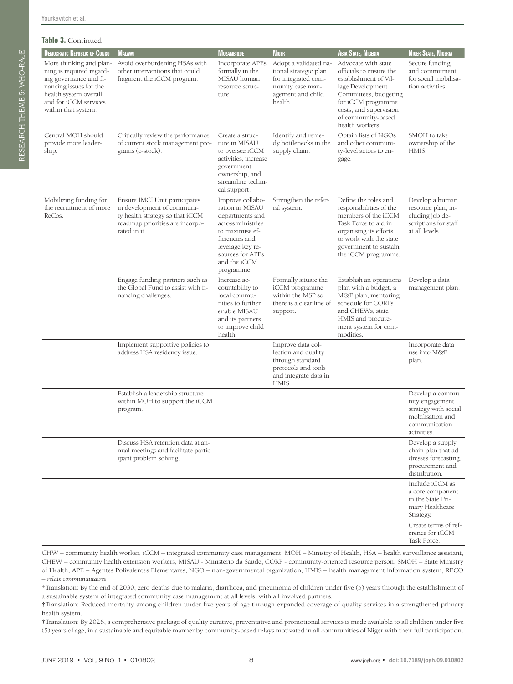| Table 3. Continued                                                                                                                                                                |                                                                                                                                                   |                                                                                                                                                                                        |                                                                                                                           |                                                                                                                                                                                                               |                                                                                                |
|-----------------------------------------------------------------------------------------------------------------------------------------------------------------------------------|---------------------------------------------------------------------------------------------------------------------------------------------------|----------------------------------------------------------------------------------------------------------------------------------------------------------------------------------------|---------------------------------------------------------------------------------------------------------------------------|---------------------------------------------------------------------------------------------------------------------------------------------------------------------------------------------------------------|------------------------------------------------------------------------------------------------|
| <b>DEMOCRATIC REPUBLIC OF CONGO</b>                                                                                                                                               | <b>MALAWI</b>                                                                                                                                     | <b>MOZAMBIQUE</b>                                                                                                                                                                      | <b>NIGER</b>                                                                                                              | <b>ABIA STATE, NIGERIA</b>                                                                                                                                                                                    | <b>NIGER STATE, NIGERIA</b>                                                                    |
| More thinking and plan-<br>ning is required regard-<br>ing governance and fi-<br>nancing issues for the<br>health system overall,<br>and for iCCM services<br>within that system. | Avoid overburdening HSAs with<br>other interventions that could<br>fragment the iCCM program.                                                     | Incorporate APEs<br>formally in the<br>MISAU human<br>resource struc-<br>ture.                                                                                                         | Adopt a validated na-<br>tional strategic plan<br>for integrated com-<br>munity case man-<br>agement and child<br>health. | Advocate with state<br>officials to ensure the<br>establishment of Vil-<br>lage Development<br>Committees, budgeting<br>for iCCM programme<br>costs, and supervision<br>of community-based<br>health workers. | Secure funding<br>and commitmer<br>for social mobili<br>tion activities.                       |
| Central MOH should<br>provide more leader-<br>ship.                                                                                                                               | Critically review the performance<br>of current stock management pro-<br>grams (c-stock).                                                         | Create a struc-<br>ture in MISAU<br>to oversee iCCM<br>activities, increase<br>government<br>ownership, and<br>streamline techni-<br>cal support.                                      | Identify and reme-<br>dy bottlenecks in the<br>supply chain.                                                              | Obtain lists of NGOs<br>and other communi-<br>ty-level actors to en-<br>gage.                                                                                                                                 | SMOH to take<br>ownership of the<br>HMIS.                                                      |
| Mobilizing funding for<br>the recruitment of more<br>ReCos.                                                                                                                       | Ensure IMCI Unit participates<br>in development of communi-<br>ty health strategy so that iCCM<br>roadmap priorities are incorpo-<br>rated in it. | Improve collabo-<br>ration in MISAU<br>departments and<br>across ministries<br>to maximise ef-<br>ficiencies and<br>leverage key re-<br>sources for APEs<br>and the iCCM<br>programme. | Strengthen the refer-<br>ral system.                                                                                      | Define the roles and<br>responsibilities of the<br>members of the iCCM<br>Task Force to aid in<br>organising its efforts<br>to work with the state<br>government to sustain<br>the iCCM programme.            | Develop a huma<br>resource plan, ir<br>cluding job de-<br>scriptions for sta<br>at all levels. |
|                                                                                                                                                                                   | Engage funding partners such as<br>the Global Fund to assist with fi-<br>nancing challenges.                                                      | Increase ac-<br>countability to<br>local commu-<br>nities to further<br>enable MISAU<br>and its partners<br>to improve child<br>health.                                                | Formally situate the<br>iCCM programme<br>within the MSP so<br>there is a clear line of<br>support.                       | Establish an operations<br>plan with a budget, a<br>M&E plan, mentoring<br>schedule for CORPs<br>and CHEWs, state<br>HMIS and procure-<br>ment system for com-<br>modities.                                   | Develop a data<br>management pla                                                               |
|                                                                                                                                                                                   | Implement supportive policies to<br>address HSA residency issue.                                                                                  |                                                                                                                                                                                        | Improve data col-<br>lection and quality<br>through standard<br>protocols and tools<br>and integrate data in<br>HMIS.     |                                                                                                                                                                                                               | Incorporate data<br>use into M&E<br>plan.                                                      |
|                                                                                                                                                                                   | Establish a leadership structure<br>within MOH to support the iCCM                                                                                |                                                                                                                                                                                        |                                                                                                                           |                                                                                                                                                                                                               | Develop a comn<br>nity engagement                                                              |

support t program. Develop a community engagement strategy with social mobilisation and communication activities. Discuss HSA retention data at annual meetings and facilitate participant problem solving. Develop a supply chain plan that addresses forecasting, procurement and distribution. Include iCCM as a core component in the State Primary Healthcare Strategy. Create terms of reference for iCCM Task Force.

CHW – community health worker, iCCM – integrated community case management, MOH – Ministry of Health, HSA – health surveillance assistant, CHEW – community health extension workers, MISAU - Ministerio da Saude, CORP - community-oriented resource person, SMOH – State Ministry of Health, APE – Agentes Polivalentes Elementares, NGO – non-governmental organization, HMIS – health management information system, RECO – *relais communautaires*

\*Translation: By the end of 2030, zero deaths due to malaria, diarrhoea, and pneumonia of children under five (5) years through the establishment of a sustainable system of integrated community case management at all levels, with all involved partners.

†Translation: Reduced mortality among children under five years of age through expanded coverage of quality services in a strengthened primary health system.

‡Translation: By 2026, a comprehensive package of quality curative, preventative and promotional services is made available to all children under five (5) years of age, in a sustainable and equitable manner by community-based relays motivated in all communities of Niger with their full participation.

Secure funding and commitment for social mobilisation activities.

Develop a human resource plan, including job descriptions for staff at all levels.

Develop a data management plan.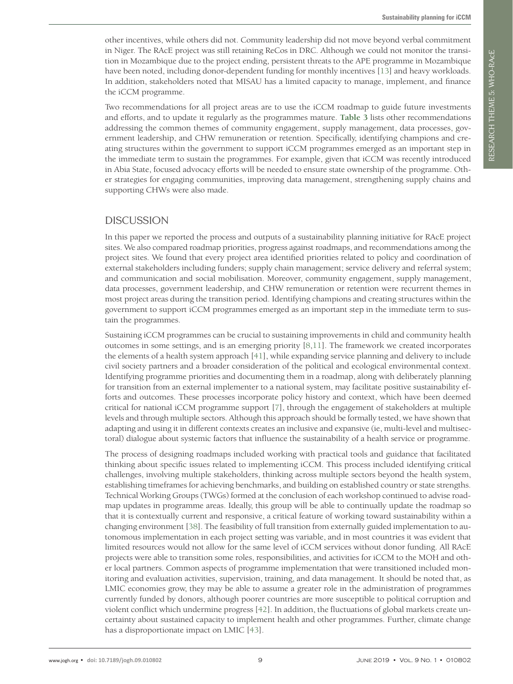other incentives, while others did not. Community leadership did not move beyond verbal commitment in Niger. The RAcE project was still retaining ReCos in DRC. Although we could not monitor the transition in Mozambique due to the project ending, persistent threats to the APE programme in Mozambique have been noted, including donor-dependent funding for monthly incentives [\[13](#page-10-21)] and heavy workloads. In addition, stakeholders noted that MISAU has a limited capacity to manage, implement, and finance the iCCM programme.

Two recommendations for all project areas are to use the iCCM roadmap to guide future investments and efforts, and to update it regularly as the programmes mature. **[Table 3](#page-6-0)** lists other recommendations addressing the common themes of community engagement, supply management, data processes, government leadership, and CHW remuneration or retention. Specifically, identifying champions and creating structures within the government to support iCCM programmes emerged as an important step in the immediate term to sustain the programmes. For example, given that iCCM was recently introduced in Abia State, focused advocacy efforts will be needed to ensure state ownership of the programme. Other strategies for engaging communities, improving data management, strengthening supply chains and supporting CHWs were also made.

### DISCUSSION

In this paper we reported the process and outputs of a sustainability planning initiative for RAcE project sites. We also compared roadmap priorities, progress against roadmaps, and recommendations among the project sites. We found that every project area identified priorities related to policy and coordination of external stakeholders including funders; supply chain management; service delivery and referral system; and communication and social mobilisation. Moreover, community engagement, supply management, data processes, government leadership, and CHW remuneration or retention were recurrent themes in most project areas during the transition period. Identifying champions and creating structures within the government to support iCCM programmes emerged as an important step in the immediate term to sustain the programmes.

Sustaining iCCM programmes can be crucial to sustaining improvements in child and community health outcomes in some settings, and is an emerging priority [[8](#page-10-6),[11\]](#page-10-9). The framework we created incorporates the elements of a health system approach [[41](#page-11-3)], while expanding service planning and delivery to include civil society partners and a broader consideration of the political and ecological environmental context. Identifying programme priorities and documenting them in a roadmap, along with deliberately planning for transition from an external implementer to a national system, may facilitate positive sustainability efforts and outcomes. These processes incorporate policy history and context, which have been deemed critical for national iCCM programme support [[7](#page-10-5)], through the engagement of stakeholders at multiple levels and through multiple sectors. Although this approach should be formally tested, we have shown that adapting and using it in different contexts creates an inclusive and expansive (ie, multi-level and multisectoral) dialogue about systemic factors that influence the sustainability of a health service or programme.

The process of designing roadmaps included working with practical tools and guidance that facilitated thinking about specific issues related to implementing iCCM. This process included identifying critical challenges, involving multiple stakeholders, thinking across multiple sectors beyond the health system, establishing timeframes for achieving benchmarks, and building on established country or state strengths. Technical Working Groups (TWGs) formed at the conclusion of each workshop continued to advise roadmap updates in programme areas. Ideally, this group will be able to continually update the roadmap so that it is contextually current and responsive, a critical feature of working toward sustainability within a changing environment [[38](#page-11-0)]. The feasibility of full transition from externally guided implementation to autonomous implementation in each project setting was variable, and in most countries it was evident that limited resources would not allow for the same level of iCCM services without donor funding. All RAcE projects were able to transition some roles, responsibilities, and activities for iCCM to the MOH and other local partners. Common aspects of programme implementation that were transitioned included monitoring and evaluation activities, supervision, training, and data management. It should be noted that, as LMIC economies grow, they may be able to assume a greater role in the administration of programmes currently funded by donors, although poorer countries are more susceptible to political corruption and violent conflict which undermine progress [[42](#page-11-4)]. In addition, the fluctuations of global markets create uncertainty about sustained capacity to implement health and other programmes. Further, climate change has a disproportionate impact on LMIC [[43\]](#page-11-5).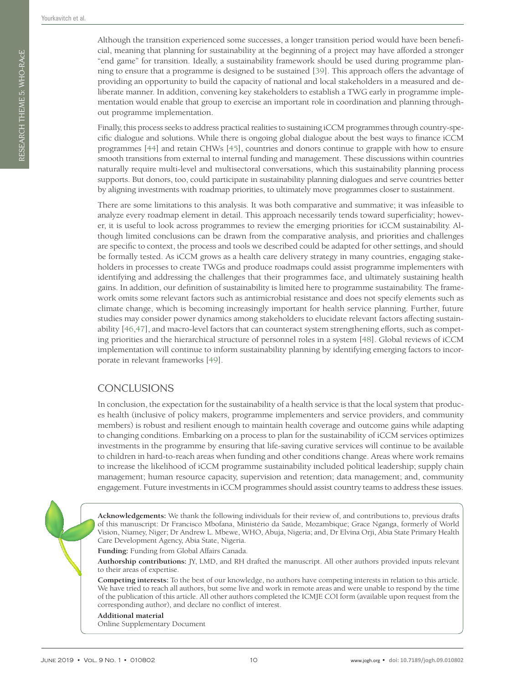Although the transition experienced some successes, a longer transition period would have been beneficial, meaning that planning for sustainability at the beginning of a project may have afforded a stronger "end game" for transition. Ideally, a sustainability framework should be used during programme planning to ensure that a programme is designed to be sustained [\[39\]](#page-11-1). This approach offers the advantage of providing an opportunity to build the capacity of national and local stakeholders in a measured and deliberate manner. In addition, convening key stakeholders to establish a TWG early in programme implementation would enable that group to exercise an important role in coordination and planning throughout programme implementation.

Finally, this process seeks to address practical realities to sustaining iCCM programmes through country-specific dialogue and solutions. While there is ongoing global dialogue about the best ways to finance iCCM programmes [[44](#page-11-6)] and retain CHWs [[45](#page-11-7)], countries and donors continue to grapple with how to ensure smooth transitions from external to internal funding and management. These discussions within countries naturally require multi-level and multisectoral conversations, which this sustainability planning process supports. But donors, too, could participate in sustainability planning dialogues and serve countries better by aligning investments with roadmap priorities, to ultimately move programmes closer to sustainment.

There are some limitations to this analysis. It was both comparative and summative; it was infeasible to analyze every roadmap element in detail. This approach necessarily tends toward superficiality; however, it is useful to look across programmes to review the emerging priorities for iCCM sustainability. Although limited conclusions can be drawn from the comparative analysis, and priorities and challenges are specific to context, the process and tools we described could be adapted for other settings, and should be formally tested. As iCCM grows as a health care delivery strategy in many countries, engaging stakeholders in processes to create TWGs and produce roadmaps could assist programme implementers with identifying and addressing the challenges that their programmes face, and ultimately sustaining health gains. In addition, our definition of sustainability is limited here to programme sustainability. The framework omits some relevant factors such as antimicrobial resistance and does not specify elements such as climate change, which is becoming increasingly important for health service planning. Further, future studies may consider power dynamics among stakeholders to elucidate relevant factors affecting sustainability [\[46](#page-11-8),[47](#page-11-9)], and macro-level factors that can counteract system strengthening efforts, such as competing priorities and the hierarchical structure of personnel roles in a system [[48](#page-11-10)]. Global reviews of iCCM implementation will continue to inform sustainability planning by identifying emerging factors to incorporate in relevant frameworks [\[49](#page-11-11)].

# **CONCLUSIONS**

In conclusion, the expectation for the sustainability of a health service is that the local system that produces health (inclusive of policy makers, programme implementers and service providers, and community members) is robust and resilient enough to maintain health coverage and outcome gains while adapting to changing conditions. Embarking on a process to plan for the sustainability of iCCM services optimizes investments in the programme by ensuring that life-saving curative services will continue to be available to children in hard-to-reach areas when funding and other conditions change. Areas where work remains to increase the likelihood of iCCM programme sustainability included political leadership; supply chain management; human resource capacity, supervision and retention; data management; and, community engagement. Future investments in iCCM programmes should assist country teams to address these issues.

**Acknowledgements:** We thank the following individuals for their review of, and contributions to, previous drafts of this manuscript: Dr Francisco Mbofana, Ministério da Saúde, Mozambique; Grace Nganga, formerly of World Vision, Niamey, Niger; Dr Andrew L. Mbewe, WHO, Abuja, Nigeria; and, Dr Elvina Orji, Abia State Primary Health Care Development Agency, Abia State, Nigeria.

**Funding:** Funding from Global Affairs Canada.

**Authorship contributions:** JY, LMD, and RH drafted the manuscript. All other authors provided inputs relevant to their areas of expertise.

**Competing interests:** To the best of our knowledge, no authors have competing interests in relation to this article. We have tried to reach all authors, but some live and work in remote areas and were unable to respond by the time of the publication of this article. All other authors completed the ICMJE COI form (available upon request from the corresponding author), and declare no conflict of interest.

**Additional material** Online Supplementary Document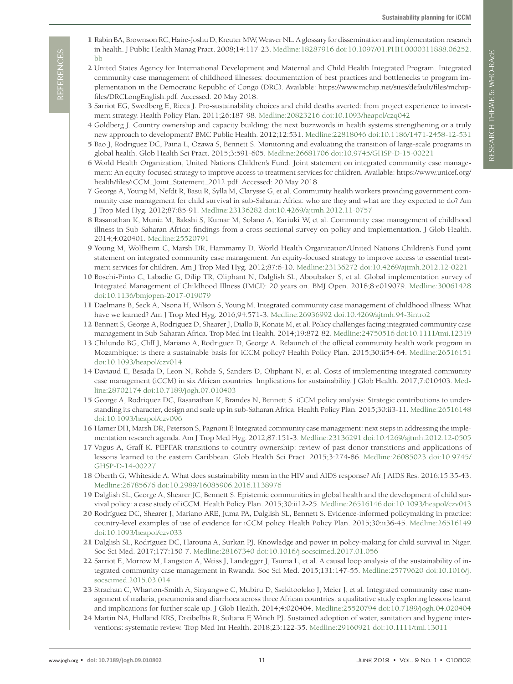- <span id="page-10-0"></span> 1 Rabin BA, Brownson RC, Haire-Joshu D, Kreuter MW, Weaver NL. A glossary for dissemination and implementation research in health. J Public Health Manag Pract. 2008;14:117-23[. Medline:18287916](https://www.ncbi.nlm.nih.gov/entrez/query.fcgi?cmd=Retrieve&db=PubMed&list_uids=18287916&dopt=Abstract) [doi:10.1097/01.PHH.0000311888.06252.](https://doi.org/10.1097/01.PHH.0000311888.06252.bb) [bb](https://doi.org/10.1097/01.PHH.0000311888.06252.bb)
- <span id="page-10-1"></span> 2 United States Agency for International Development and Maternal and Child Health Integrated Program. Integrated community case management of childhood illnesses: documentation of best practices and bottlenecks to program implementation in the Democratic Republic of Congo (DRC). Available: https://www.mchip.net/sites/default/files/mchipfiles/DRCLongEnglish.pdf. Accessed: 20 May 2018.
- <span id="page-10-2"></span> 3 Sarriot EG, Swedberg E, Ricca J. Pro-sustainability choices and child deaths averted: from project experience to investment strategy. Health Policy Plan. 2011;26:187-98[. Medline:20823216](https://www.ncbi.nlm.nih.gov/entrez/query.fcgi?cmd=Retrieve&db=PubMed&list_uids=20823216&dopt=Abstract) [doi:10.1093/heapol/czq042](https://doi.org/10.1093/heapol/czq042)
- 4 Goldberg J. Country ownership and capacity building: the next buzzwords in health systems strengthening or a truly new approach to development? BMC Public Health. 2012;12:531[. Medline:22818046](https://www.ncbi.nlm.nih.gov/entrez/query.fcgi?cmd=Retrieve&db=PubMed&list_uids=22818046&dopt=Abstract) [doi:10.1186/1471-2458-12-531](https://doi.org/10.1186/1471-2458-12-531)
- <span id="page-10-3"></span> 5 Bao J, Rodriguez DC, Paina L, Ozawa S, Bennett S. Monitoring and evaluating the transition of large-scale programs in global health. Glob Health Sci Pract. 2015;3:591-605. [Medline:26681706](https://www.ncbi.nlm.nih.gov/entrez/query.fcgi?cmd=Retrieve&db=PubMed&list_uids=26681706&dopt=Abstract) [doi:10.9745/GHSP-D-15-00221](https://doi.org/10.9745/GHSP-D-15-00221)
- <span id="page-10-4"></span> 6 World Health Organization, United Nations Children's Fund. Joint statement on integrated community case management: An equity-focused strategy to improve access to treatment services for children. Available: https://www.unicef.org/ health/files/iCCM\_Joint\_Statement\_2012.pdf. Accessed: 20 May 2018.
- <span id="page-10-5"></span> 7 George A, Young M, Nefdt R, Basu R, Sylla M, Clarysse G, et al. Community health workers providing government community case management for child survival in sub-Saharan Africa: who are they and what are they expected to do? Am J Trop Med Hyg. 2012;87:85-91[. Medline:23136282](https://www.ncbi.nlm.nih.gov/entrez/query.fcgi?cmd=Retrieve&db=PubMed&list_uids=23136282&dopt=Abstract) [doi:10.4269/ajtmh.2012.11-0757](https://doi.org/10.4269/ajtmh.2012.11-0757)
- <span id="page-10-6"></span> 8 Rasanathan K, Muniz M, Bakshi S, Kumar M, Solano A, Kariuki W, et al. Community case management of childhood illness in Sub-Saharan Africa: findings from a cross-sectional survey on policy and implementation. J Glob Health. 2014;4:020401[. Medline:25520791](https://www.ncbi.nlm.nih.gov/entrez/query.fcgi?cmd=Retrieve&db=PubMed&list_uids=25520791&dopt=Abstract)
- <span id="page-10-7"></span> 9 Young M, Wolfheim C, Marsh DR, Hammamy D. World Health Organization/United Nations Children's Fund joint statement on integrated community case management: An equity-focused strategy to improve access to essential treatment services for children. Am J Trop Med Hyg. 2012;87:6-10[. Medline:23136272](https://www.ncbi.nlm.nih.gov/entrez/query.fcgi?cmd=Retrieve&db=PubMed&list_uids=23136272&dopt=Abstract) [doi:10.4269/ajtmh.2012.12-0221](https://doi.org/10.4269/ajtmh.2012.12-0221)
- <span id="page-10-8"></span>10 Boschi-Pinto C, Labadie G, Dilip TR, Oliphant N, Dalglish SL, Aboubaker S, et al. Global implementation survey of Integrated Management of Childhood Illness (IMCI): 20 years on. BMJ Open. 2018;8:e019079. [Medline:30061428](https://www.ncbi.nlm.nih.gov/entrez/query.fcgi?cmd=Retrieve&db=PubMed&list_uids=30061428&dopt=Abstract) [doi:10.1136/bmjopen-2017-019079](https://doi.org/10.1136/bmjopen-2017-019079)
- <span id="page-10-9"></span>11 Daelmans B, Seck A, Nsona H, Wilson S, Young M. Integrated community case management of childhood illness: What have we learned? Am J Trop Med Hyg. 2016;94:571-3[. Medline:26936992](https://www.ncbi.nlm.nih.gov/entrez/query.fcgi?cmd=Retrieve&db=PubMed&list_uids=26936992&dopt=Abstract) [doi:10.4269/ajtmh.94-3intro2](https://doi.org/10.4269/ajtmh.94-3intro2)
- <span id="page-10-16"></span>12 Bennett S, George A, Rodriguez D, Shearer J, Diallo B, Konate M, et al. Policy challenges facing integrated community case management in Sub-Saharan Africa. Trop Med Int Health. 2014;19:872-82[. Medline:24750516](https://www.ncbi.nlm.nih.gov/entrez/query.fcgi?cmd=Retrieve&db=PubMed&list_uids=24750516&dopt=Abstract) [doi:10.1111/tmi.12319](https://doi.org/10.1111/tmi.12319)
- <span id="page-10-21"></span>13 Chilundo BG, Cliff J, Mariano A, Rodriguez D, George A. Relaunch of the official community health work program in Mozambique: is there a sustainable basis for iCCM policy? Health Policy Plan. 2015;30:ii54-64. [Medline:26516151](https://www.ncbi.nlm.nih.gov/entrez/query.fcgi?cmd=Retrieve&db=PubMed&list_uids=26516151&dopt=Abstract) [doi:10.1093/heapol/czv014](https://doi.org/10.1093/heapol/czv014)
- <span id="page-10-17"></span>14 Daviaud E, Besada D, Leon N, Rohde S, Sanders D, Oliphant N, et al. Costs of implementing integrated community case management (iCCM) in six African countries: Implications for sustainability. J Glob Health. 2017;7:010403. [Med](https://www.ncbi.nlm.nih.gov/entrez/query.fcgi?cmd=Retrieve&db=PubMed&list_uids=28702174&dopt=Abstract)[line:28702174](https://www.ncbi.nlm.nih.gov/entrez/query.fcgi?cmd=Retrieve&db=PubMed&list_uids=28702174&dopt=Abstract) [doi:10.7189/jogh.07.010403](https://doi.org/10.7189/jogh.07.010403)
- <span id="page-10-13"></span>15 George A, Rodriquez DC, Rasanathan K, Brandes N, Bennett S. iCCM policy analysis: Strategic contributions to understanding its character, design and scale up in sub-Saharan Africa. Health Policy Plan. 2015;30:ii3-11. [Medline:26516148](https://www.ncbi.nlm.nih.gov/entrez/query.fcgi?cmd=Retrieve&db=PubMed&list_uids=26516148&dopt=Abstract) [doi:10.1093/heapol/czv096](https://doi.org/10.1093/heapol/czv096)
- <span id="page-10-10"></span>16 Hamer DH, Marsh DR, Peterson S, Pagnoni F. Integrated community case management: next steps in addressing the implementation research agenda. Am J Trop Med Hyg. 2012;87:151-3[. Medline:23136291](https://www.ncbi.nlm.nih.gov/entrez/query.fcgi?cmd=Retrieve&db=PubMed&list_uids=23136291&dopt=Abstract) [doi:10.4269/ajtmh.2012.12-0505](https://doi.org/10.4269/ajtmh.2012.12-0505)
- <span id="page-10-11"></span>17 Vogus A, Graff K. PEPFAR transitions to country ownership: review of past donor transitions and applications of lessons learned to the eastern Caribbean. Glob Health Sci Pract. 2015;3:274-86[. Medline:26085023](https://www.ncbi.nlm.nih.gov/entrez/query.fcgi?cmd=Retrieve&db=PubMed&list_uids=26085023&dopt=Abstract) [doi:10.9745/](https://doi.org/10.9745/GHSP-D-14-00227) [GHSP-D-14-00227](https://doi.org/10.9745/GHSP-D-14-00227)
- <span id="page-10-12"></span>18 Oberth G, Whiteside A. What does sustainability mean in the HIV and AIDS response? Afr J AIDS Res. 2016;15:35-43. [Medline:26785676](https://www.ncbi.nlm.nih.gov/entrez/query.fcgi?cmd=Retrieve&db=PubMed&list_uids=26785676&dopt=Abstract) [doi:10.2989/16085906.2016.1138976](https://doi.org/10.2989/16085906.2016.1138976)
- <span id="page-10-14"></span>19 Dalglish SL, George A, Shearer JC, Bennett S. Epistemic communities in global health and the development of child survival policy: a case study of iCCM. Health Policy Plan. 2015;30:ii12-25[. Medline:26516146](https://www.ncbi.nlm.nih.gov/entrez/query.fcgi?cmd=Retrieve&db=PubMed&list_uids=26516146&dopt=Abstract) [doi:10.1093/heapol/czv043](https://doi.org/10.1093/heapol/czv043)
- <span id="page-10-15"></span>20 Rodríguez DC, Shearer J, Mariano ARE, Juma PA, Dalglish SL, Bennett S. Evidence-informed policymaking in practice: country-level examples of use of evidence for iCCM policy. Health Policy Plan. 2015;30:ii36-45[. Medline:26516149](https://www.ncbi.nlm.nih.gov/entrez/query.fcgi?cmd=Retrieve&db=PubMed&list_uids=26516149&dopt=Abstract) [doi:10.1093/heapol/czv033](https://doi.org/10.1093/heapol/czv033)
- <span id="page-10-18"></span>21 Dalglish SL, Rodríguez DC, Harouna A, Surkan PJ. Knowledge and power in policy-making for child survival in Niger. Soc Sci Med. 2017;177:150-7[. Medline:28167340](https://www.ncbi.nlm.nih.gov/entrez/query.fcgi?cmd=Retrieve&db=PubMed&list_uids=28167340&dopt=Abstract) [doi:10.1016/j.socscimed.2017.01.056](https://doi.org/10.1016/j.socscimed.2017.01.056)
- 22 Sarriot E, Morrow M, Langston A, Weiss J, Landegger J, Tsuma L, et al. A causal loop analysis of the sustainability of integrated community case management in Rwanda. Soc Sci Med. 2015;131:147-55[. Medline:25779620](https://www.ncbi.nlm.nih.gov/entrez/query.fcgi?cmd=Retrieve&db=PubMed&list_uids=25779620&dopt=Abstract) [doi:10.1016/j.](https://doi.org/10.1016/j.socscimed.2015.03.014) [socscimed.2015.03.014](https://doi.org/10.1016/j.socscimed.2015.03.014)
- <span id="page-10-19"></span>23 Strachan C, Wharton-Smith A, Sinyangwe C, Mubiru D, Ssekitooleko J, Meier J, et al. Integrated community case management of malaria, pneumonia and diarrhoea across three African countries: a qualitative study exploring lessons learnt and implications for further scale up. J Glob Health. 2014;4:020404. [Medline:25520794](https://www.ncbi.nlm.nih.gov/entrez/query.fcgi?cmd=Retrieve&db=PubMed&list_uids=25520794&dopt=Abstract) [doi:10.7189/jogh.04.020404](https://doi.org/10.7189/jogh.04.020404)
- <span id="page-10-20"></span>24 Martin NA, Hulland KRS, Dreibelbis R, Sultana F, Winch PJ. Sustained adoption of water, sanitation and hygiene interventions: systematic review. Trop Med Int Health. 2018;23:122-35[. Medline:29160921](https://www.ncbi.nlm.nih.gov/entrez/query.fcgi?cmd=Retrieve&db=PubMed&list_uids=29160921&dopt=Abstract) [doi:10.1111/tmi.13011](https://doi.org/10.1111/tmi.13011)